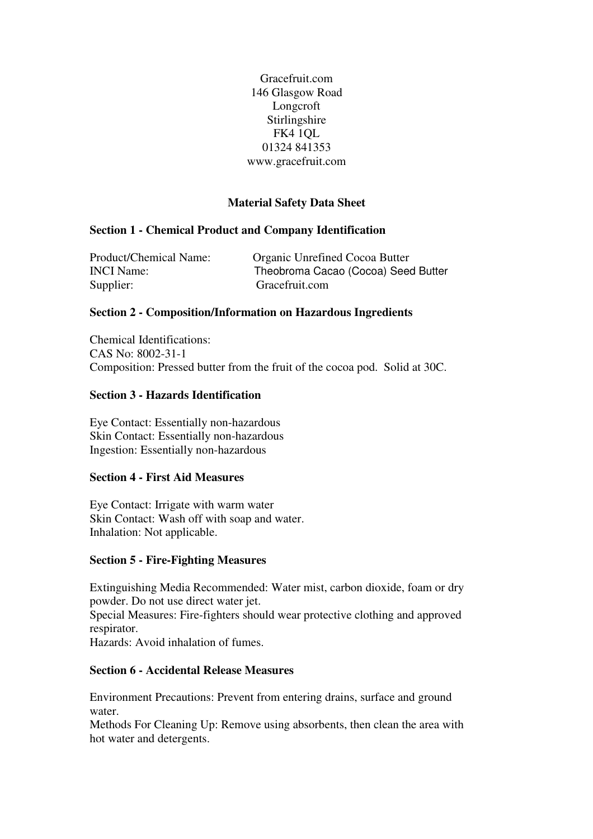Gracefruit.com 146 Glasgow Road Longcroft Stirlingshire FK4 1QL 01324 841353 www.gracefruit.com

# **Material Safety Data Sheet**

### **Section 1 - Chemical Product and Company Identification**

| Product/Chemical Name: | Organic Unrefined Cocoa Butter      |
|------------------------|-------------------------------------|
| <b>INCI</b> Name:      | Theobroma Cacao (Cocoa) Seed Butter |
| Supplier:              | Gracefruit.com                      |

### **Section 2 - Composition/Information on Hazardous Ingredients**

Chemical Identifications: CAS No: 8002-31-1 Composition: Pressed butter from the fruit of the cocoa pod. Solid at 30C.

### **Section 3 - Hazards Identification**

Eye Contact: Essentially non-hazardous Skin Contact: Essentially non-hazardous Ingestion: Essentially non-hazardous

### **Section 4 - First Aid Measures**

Eye Contact: Irrigate with warm water Skin Contact: Wash off with soap and water. Inhalation: Not applicable.

### **Section 5 - Fire-Fighting Measures**

Extinguishing Media Recommended: Water mist, carbon dioxide, foam or dry powder. Do not use direct water jet.

Special Measures: Fire-fighters should wear protective clothing and approved respirator.

Hazards: Avoid inhalation of fumes.

### **Section 6 - Accidental Release Measures**

Environment Precautions: Prevent from entering drains, surface and ground water.

Methods For Cleaning Up: Remove using absorbents, then clean the area with hot water and detergents.